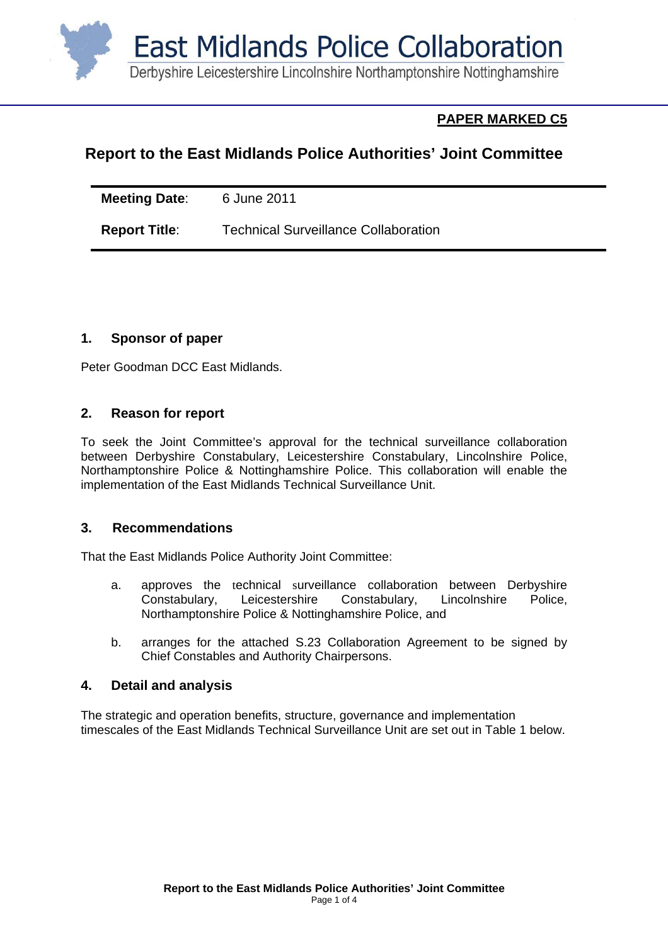

# **PAPER MARKED C5**

# **Report to the East Midlands Police Authorities' Joint Committee**

| <b>Meeting Date:</b> | 6 June 2011                                 |
|----------------------|---------------------------------------------|
| <b>Report Title:</b> | <b>Technical Surveillance Collaboration</b> |

### **1. Sponsor of paper**

Peter Goodman DCC East Midlands.

### **2. Reason for report**

To seek the Joint Committee's approval for the technical surveillance collaboration between Derbyshire Constabulary, Leicestershire Constabulary, Lincolnshire Police, Northamptonshire Police & Nottinghamshire Police. This collaboration will enable the implementation of the East Midlands Technical Surveillance Unit.

### **3. Recommendations**

That the East Midlands Police Authority Joint Committee:

- a. approves the technical surveillance collaboration between Derbyshire Constabulary, Leicestershire Constabulary, Lincolnshire Police, Northamptonshire Police & Nottinghamshire Police, and
- b. arranges for the attached S.23 Collaboration Agreement to be signed by Chief Constables and Authority Chairpersons.

### **4. Detail and analysis**

The strategic and operation benefits, structure, governance and implementation timescales of the East Midlands Technical Surveillance Unit are set out in Table 1 below.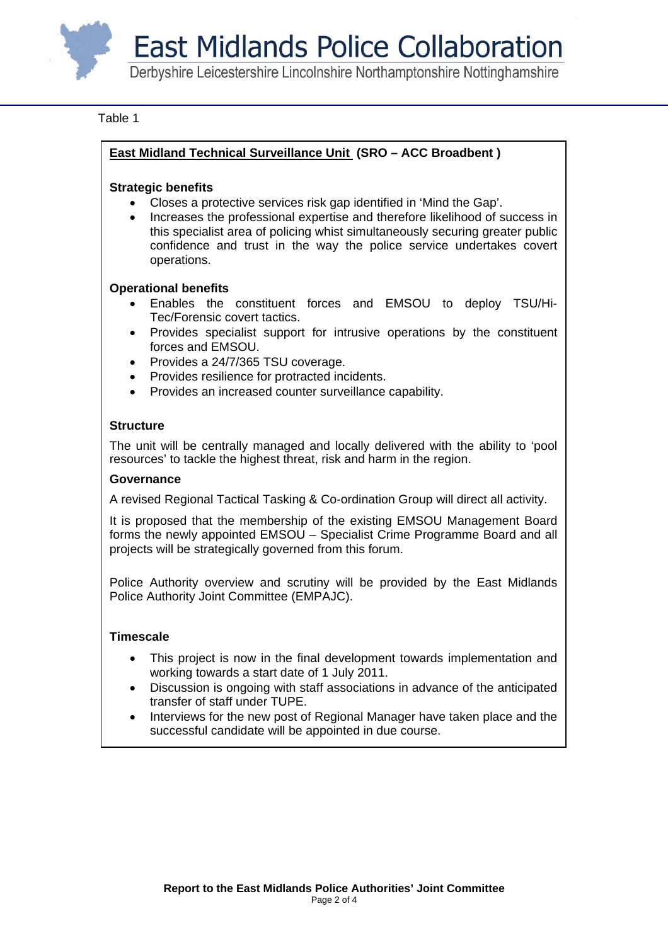**East Midlands Police Collaboration** 

Derbyshire Leicestershire Lincolnshire Northamptonshire Nottinghamshire

#### Table 1

### **East Midland Technical Surveillance Unit (SRO – ACC Broadbent )**

#### **Strategic benefits**

- Closes a protective services risk gap identified in 'Mind the Gap'.
- Increases the professional expertise and therefore likelihood of success in this specialist area of policing whist simultaneously securing greater public confidence and trust in the way the police service undertakes covert operations.

#### **Operational benefits**

- Enables the constituent forces and EMSOU to deploy TSU/Hi-Tec/Forensic covert tactics.
- Provides specialist support for intrusive operations by the constituent forces and EMSOU.
- Provides a 24/7/365 TSU coverage.
- Provides resilience for protracted incidents.
- Provides an increased counter surveillance capability.

#### **Structure**

The unit will be centrally managed and locally delivered with the ability to 'pool resources' to tackle the highest threat, risk and harm in the region.

#### **Governance**

A revised Regional Tactical Tasking & Co-ordination Group will direct all activity.

It is proposed that the membership of the existing EMSOU Management Board forms the newly appointed EMSOU – Specialist Crime Programme Board and all projects will be strategically governed from this forum.

Police Authority overview and scrutiny will be provided by the East Midlands Police Authority Joint Committee (EMPAJC).

#### **Timescale**

- This project is now in the final development towards implementation and working towards a start date of 1 July 2011.
- Discussion is ongoing with staff associations in advance of the anticipated transfer of staff under TUPE.
- Interviews for the new post of Regional Manager have taken place and the successful candidate will be appointed in due course.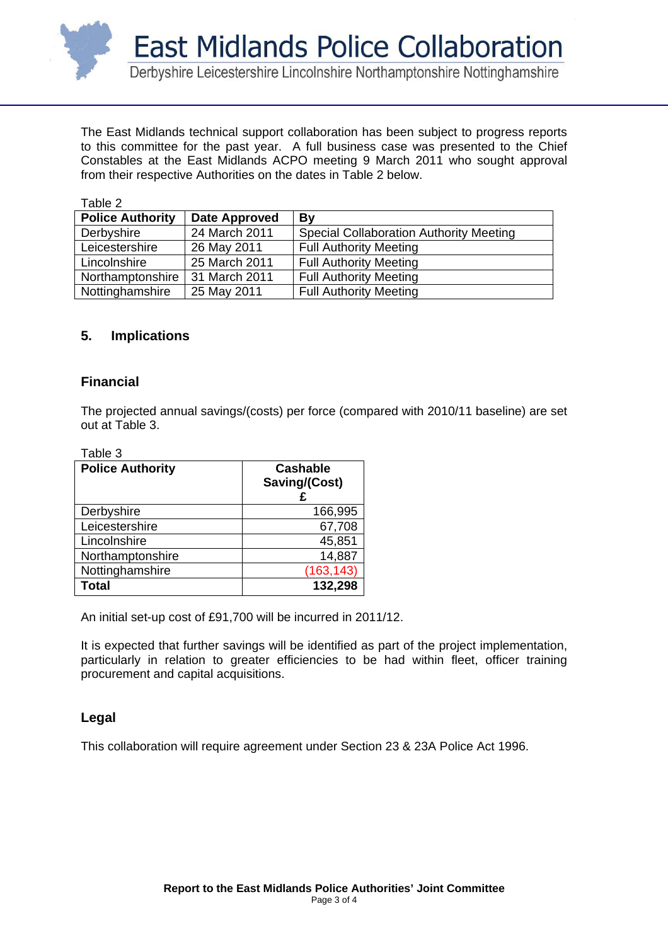

The East Midlands technical support collaboration has been subject to progress reports to this committee for the past year. A full business case was presented to the Chief Constables at the East Midlands ACPO meeting 9 March 2011 who sought approval from their respective Authorities on the dates in Table 2 below.

| Table 2                 |               |                                                |
|-------------------------|---------------|------------------------------------------------|
| <b>Police Authority</b> | Date Approved | By                                             |
| Derbyshire              | 24 March 2011 | <b>Special Collaboration Authority Meeting</b> |
| Leicestershire          | 26 May 2011   | <b>Full Authority Meeting</b>                  |
| Lincolnshire            | 25 March 2011 | <b>Full Authority Meeting</b>                  |
| Northamptonshire        | 31 March 2011 | <b>Full Authority Meeting</b>                  |
| Nottinghamshire         | 25 May 2011   | <b>Full Authority Meeting</b>                  |

### **5. Implications**

### **Financial**

The projected annual savings/(costs) per force (compared with 2010/11 baseline) are set out at Table 3.

| able |
|------|
|------|

| <b>Police Authority</b> | <b>Cashable</b><br>Saving/(Cost) |
|-------------------------|----------------------------------|
| Derbyshire              | 166,995                          |
| Leicestershire          | 67,708                           |
| Lincolnshire            | 45,851                           |
| Northamptonshire        | 14,887                           |
| Nottinghamshire         | (163, 143)                       |
| <b>Total</b>            | 132,298                          |

An initial set-up cost of £91,700 will be incurred in 2011/12.

It is expected that further savings will be identified as part of the project implementation, particularly in relation to greater efficiencies to be had within fleet, officer training procurement and capital acquisitions.

### **Legal**

This collaboration will require agreement under Section 23 & 23A Police Act 1996.